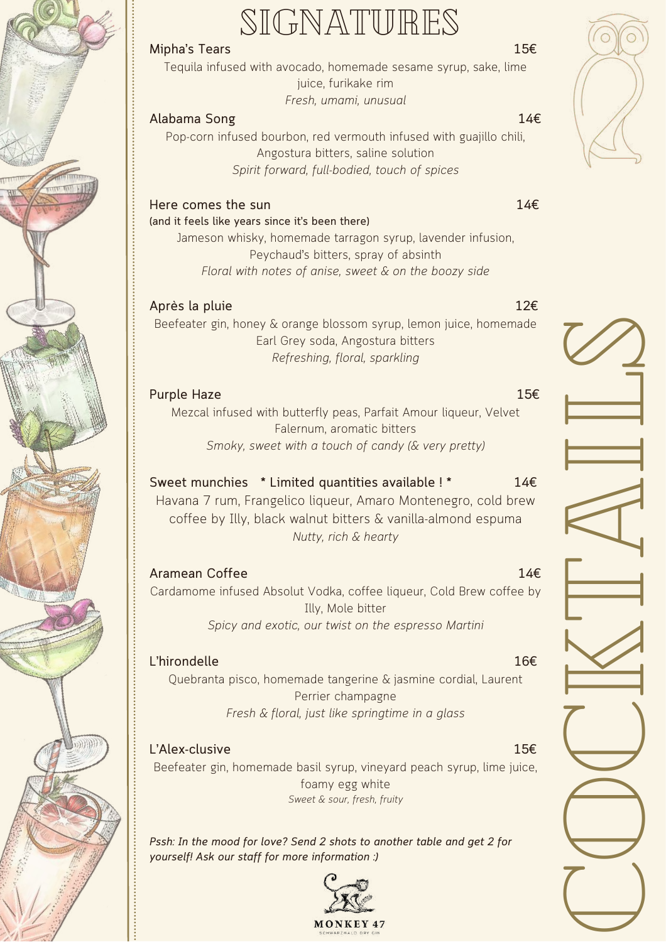## SIGNATURES

#### **Mipha's Tears 15€**

Tequila infused with avocado, homemade sesame syrup, sake, lime juice, furikake rim *Fresh, umami, unusual*

#### **Alabama Song 14€**

Pop-corn infused bourbon, red vermouth infused with guajillo chili, Angostura bitters, saline solution *Spirit forward, full-bodied, touch of spices*

### **Here comes the sun 14€**

#### **(and it feels like years since it's been there)**

Jameson whisky, homemade tarragon syrup, lavender infusion, Peychaud's bitters, spray of absinth *Floral with notes of anise, sweet & on the boozy side*

### **Après la pluie 12€**

Beefeater gin, honey & orange blossom syrup, lemon juice, homemade Earl Grey soda, Angostura bitters *Refreshing, floral, sparkling*

#### **Purple Haze 15€**

Mezcal infused with butterfly peas, Parfait Amour liqueur, Velvet Falernum, aromatic bitters *Smoky, sweet with a touch of candy (& very pretty)*

### **Sweet munchies \* Limited quantities available ! \* 14€**

Havana 7 rum, Frangelico liqueur, Amaro Montenegro, cold brew coffee by Illy, black walnut bitters & vanilla-almond espuma *Nutty, rich & hearty*

#### **Aramean Coffee 14€**

Cardamome infused Absolut Vodka, coffee liqueur, Cold Brew coffee by Illy, Mole bitter *Spicy and exotic, our twist on the espresso Martini*

#### **L'hirondelle 16€**

Quebranta pisco, homemade tangerine & jasmine cordial, Laurent Perrier champagne *Fresh & floral, just like springtime in a glass*

**L'Alex-clusive 15€** Beefeater gin, homemade basil syrup, vineyard peach syrup, lime juice, foamy egg white *Sweet & sour, fresh, fruity*

*Pssh: In the mood for love? Send 2 shots to another table and get 2 for yourself! Ask our staff for more information :)*





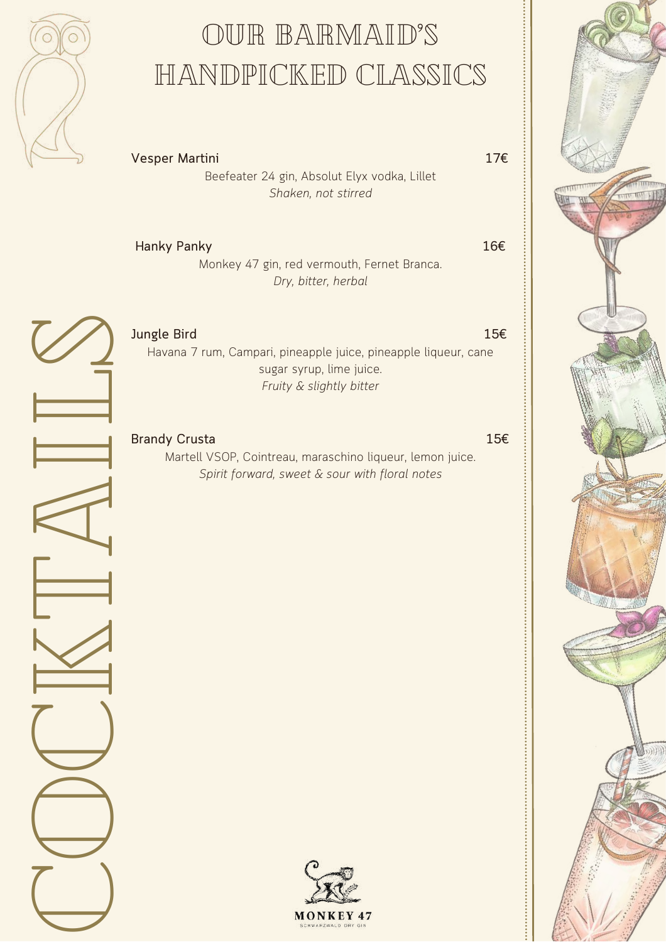

## OUR BARMAID'S handpicked classics

**Vesper Martini 17€**

Beefeater 24 gin, Absolut Elyx vodka, Lillet *Shaken, not stirred*

| <b>Hanky Panky</b> | 16€ |
|--------------------|-----|
|--------------------|-----|

Monkey 47 gin, red vermouth, Fernet Branca. *Dry, bitter, herbal*

 $\bigcup$ o $\bigcup$ kt $\mathbb{A}% ^{2}\left( \mathbb{Z}^{3}\right)$ il $\varnothing$ 



**Jungle Bird 15€** Havana 7 rum, Campari, pineapple juice, pineapple liqueur, cane sugar syrup, lime juice. *Fruity & slightly bitter*

#### **Brandy Crusta 15€**

Martell VSOP, Cointreau, maraschino liqueur, lemon juice. *Spirit forward, sweet & sour with floral notes*

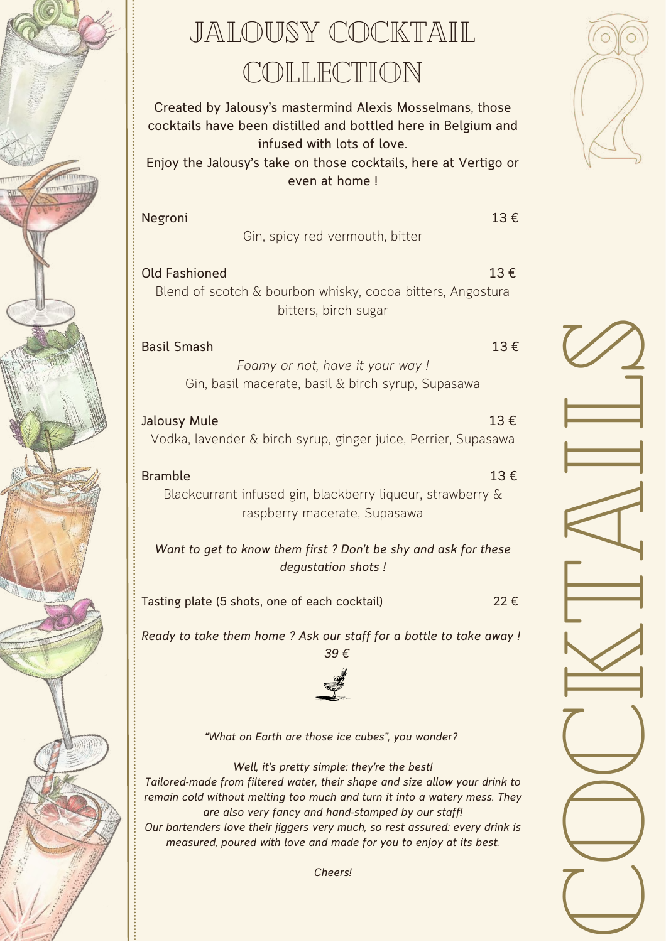

### jalousy cocktail COLLECTION

**Created by Jalousy's mastermind Alexis Mosselmans, those cocktails have been distilled and bottled here in Belgium and infused with lots of love.**

**Enjoy the Jalousy's take on those cocktails, here at Vertigo or even at home !**

**Negroni 13 €** Gin, spicy red vermouth, bitter

**Old Fashioned 13 €** Blend of scotch & bourbon whisky, cocoa bitters, Angostura bitters, birch sugar

**Basil Smash 13 €** *Foamy or not, have it your way !* Gin, basil macerate, basil & birch syrup, Supasawa

**Jalousy Mule 13 €** Vodka, lavender & birch syrup, ginger juice, Perrier, Supasawa

**Bramble 13 €** Blackcurrant infused gin, blackberry liqueur, strawberry & raspberry macerate, Supasawa

*Want to get to know them first ? Don't be shy and ask for these degustation shots !*

**Tasting plate (5 shots, one of each cocktail) 22 €**

*Ready to take them home ? Ask our staff for a bottle to take away ! 39 €*



*"What on Earth are those ice cubes", you wonder?*

*Well, it's pretty simple: they're the best! Tailored-made from filtered water, their shape and size allow your drink to remain cold without melting too much and turn it into a watery mess. They are also very fancy and hand-stamped by our staff! Our bartenders love their jiggers very much, so rest assured: every drink is measured, poured with love and made for you to enjoy at its best.*



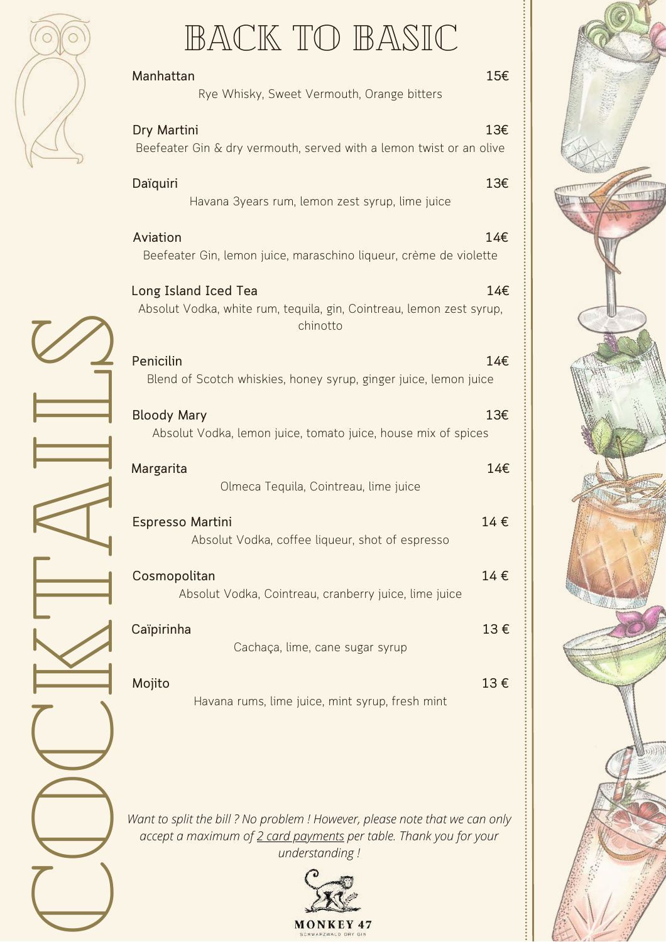# BACK TO BASIC

**TITLE RIVER** 

| LUIK ILU IBANSILU                                                                                                                                                  |     |
|--------------------------------------------------------------------------------------------------------------------------------------------------------------------|-----|
| Manhattan<br>Rye Whisky, Sweet Vermouth, Orange bitters                                                                                                            | 15€ |
| Dry Martini<br>Beefeater Gin & dry vermouth, served with a lemon twist or an olive                                                                                 | 13€ |
| Daïquiri<br>Havana 3years rum, lemon zest syrup, lime juice                                                                                                        | 13€ |
| Aviation<br>Beefeater Gin, lemon juice, maraschino liqueur, crème de violette                                                                                      | 14€ |
| Long Island Iced Tea<br>Absolut Vodka, white rum, tequila, gin, Cointreau, lemon zest syrup,<br>chinotto                                                           | 14€ |
| Penicilin<br>Blend of Scotch whiskies, honey syrup, ginger juice, lemon juice                                                                                      | 14€ |
| <b>Bloody Mary</b><br>Absolut Vodka, lemon juice, tomato juice, house mix of spices                                                                                | 13€ |
| Margarita<br>Olmeca Tequila, Cointreau, lime juice                                                                                                                 | 14€ |
| Espresso Martini<br>Absolut Vodka, coffee liqueur, shot of espresso                                                                                                | 14€ |
| Cosmopolitan<br>Absolut Vodka, Cointreau, cranberry juice, lime juice                                                                                              | 14€ |
| Caïpirinha<br>Cachaça, lime, cane sugar syrup                                                                                                                      | 13€ |
| Mojito<br>Havana rums, lime juice, mint syrup, fresh mint                                                                                                          | 13€ |
| Want to split the bill ? No problem ! However, please note that we can only<br>accept a maximum of 2 card payments per table. Thank you for your<br>understanding! |     |

*Want to split the bill ? No problem ! However, please note that we can only accept a maximum of 2 card payments per table. Thank you for your understanding !*



 $\bigcup$